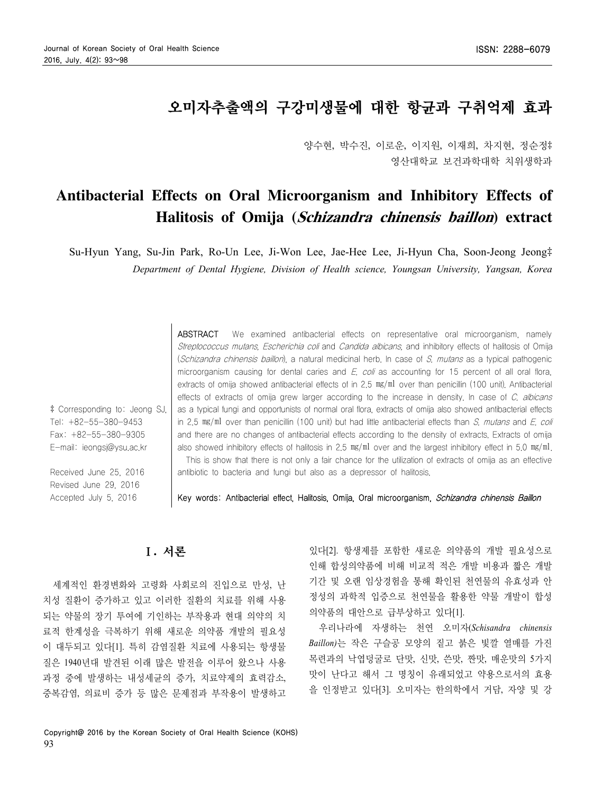# 오미자추출액의 구강미생물에 대한 항균과 구취억제 효과

양수현, 박수진, 이로운, 이지원, 이재희, 차지현, 정순정‡ 영산대학교 보건과학대학 치위생학과

# **Antibacterial Effects on Oral Microorganism and Inhibitory Effects of Halitosis of Omija (Schizandra chinensis baillon) extract**

Su-Hyun Yang, Su-Jin Park, Ro-Un Lee, Ji-Won Lee, Jae-Hee Lee, Ji-Hyun Cha, Soon-Jeong Jeong‡ *Department of Dental Hygiene, Division of Health science, Youngsan University, Yangsan, Korea*

> ABSTRACT We examined antibacterial effects on representative oral microorganism, namely Streptococcus mutans, Escherichia coli and Candida albicans, and inhibitory effects of halitosis of Omija (Schizandra chinensis baillon), a natural medicinal herb. In case of S. mutans as a typical pathogenic microorganism causing for dental caries and  $E$ , coli as accounting for 15 percent of all oral flora, extracts of omija showed antibacterial effects of in 2.5  $mg/ml$  over than penicillin (100 unit). Antibacterial effects of extracts of omija grew larger according to the increase in density. In case of C, albicans as a typical fungi and opportunists of normal oral flora, extracts of omija also showed antibacterial effects in 2.5  $mg/ml$  over than penicillin (100 unit) but had little antibacterial effects than S, mutans and E, coli and there are no changes of antibacterial effects according to the density of extracts. Extracts of omija also showed inhibitory effects of halitosis in 2.5  $mg/ml$  over and the largest inhibitory effect in 5.0  $mg/ml$ . This is show that there is not only a fair chance for the utilization of extracts of omija as an effective

antibiotic to bacteria and fungi but also as a depressor of halitosis.

Key words: Antibacterial effect, Halitosis, Omija, Oral microorganism, Schizandra chinensis Baillon

# Ⅰ**.** 서론

‡ Corresponding to: Jeong SJ, Tel: +82-55-380-9453 Fax: +82-55-380-9305 E-mail: ieongsj@ysu.ac.kr

Received June 25, 2016 Revised June 29, 2016 Accepted July 5, 2016

세계적인 환경변화와 고령화 사회로의 진입으로 만성, 난 치성 질환이 증가하고 있고 이러한 질환의 치료를 위해 사용 되는 약물의 장기 투여에 기인하는 부작용과 현대 의약의 치 료적 한계성을 극복하기 위해 새로운 의약품 개발의 필요성 이 대두되고 있다[1]. 특히 감염질환 치료에 사용되는 항생물 질은 1940년대 발견된 이래 많은 발전을 이루어 왔으나 사용 과정 중에 발생하는 내성세균의 증가, 치료약제의 효력감소, 중복감염, 의료비 증가 등 많은 문제점과 부작용이 발생하고

있다[2]. 항생제를 포함한 새로운 의약품의 개발 필요성으로 인해 합성의약품에 비해 비교적 적은 개발 비용과 짧은 개발 기간 및 오랜 임상경험을 통해 확인된 천연물의 유효성과 안 정성의 과학적 입증으로 천연물을 활용한 약물 개발이 합성 의약품의 대안으로 급부상하고 있다[1].

우리나라에 자생하는 천연 오미자(*Schisandra chinensis Baillon)*는 작은 구슬공 모양의 짙고 붉은 빛깔 열매를 가진 목련과의 낙엽덩굴로 단맛, 신맛, 쓴맛, 짠맛, 매운맛의 5가지 맛이 난다고 해서 그 명칭이 유래되었고 약용으로서의 효용 을 인정받고 있다[3]. 오미자는 한의학에서 거담, 자양 및 강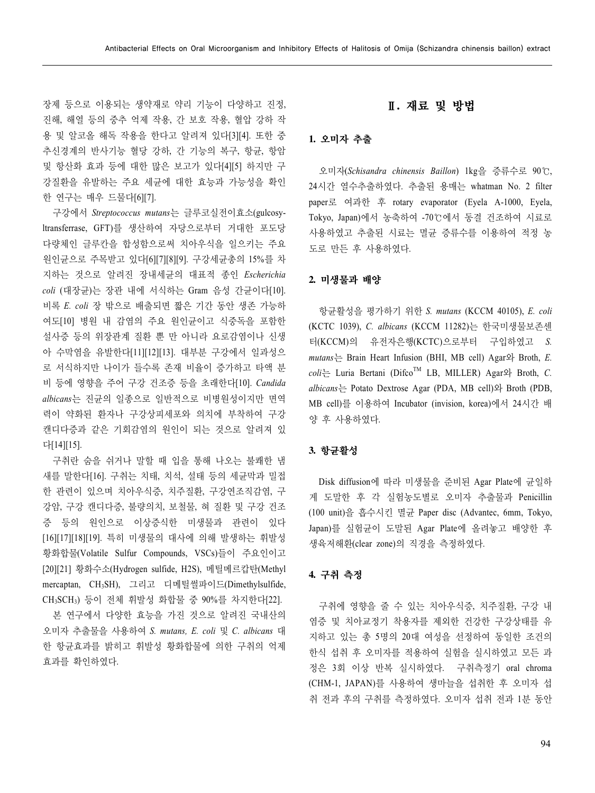장제 등으로 이용되는 생약재로 약리 기능이 다양하고 진정, 진해, 해열 등의 중추 억제 작용, 간 보호 작용, 혈압 강하 작 용 및 알코올 해독 작용을 한다고 알려져 있다[3][4]. 또한 중 추신경계의 반사기능 혈당 강하, 간 기능의 복구, 항균, 항암 및 항산화 효과 등에 대한 많은 보고가 있다[4][5] 하지만 구 강질환을 유발하는 주요 세균에 대한 효능과 가능성을 확인 한 연구는 매우 드물다[6][7].

구강에서 *Streptococcus mutans*는 글루코실전이효소(gulcosyltransferrase, GFT)를 생산하여 자당으로부터 거대한 포도당 다량체인 글루칸을 합성함으로써 치아우식을 일으키는 주요 원인균으로 주목받고 있다[6][7][8][9]. 구강세균총의 15%를 차 지하는 것으로 알려진 장내세균의 대표적 종인 *Escherichia coli* (대장균)는 장관 내에 서식하는 Gram 음성 간균이다[10]. 비록 *E. coli* 장 밖으로 배출되면 짧은 기간 동안 생존 가능하 여도[10] 병원 내 감염의 주요 원인균이고 식중독을 포함한 설사증 등의 위장관계 질환 뿐 만 아니라 요로감염이나 신생 아 수막염을 유발한다[11][12][13]. 대부분 구강에서 일과성으 로 서식하지만 나이가 들수록 존재 비율이 증가하고 타액 분 비 등에 영향을 주어 구강 건조증 등을 초래한다[10]. *Candida albicans*는 진균의 일종으로 일반적으로 비병원성이지만 면역 력이 약화된 환자나 구강상피세포와 의치에 부착하여 구강 캔디다증과 같은 기회감염의 원인이 되는 것으로 알려져 있 다[14][15].

구취란 숨을 쉬거나 말할 때 입을 통해 나오는 불쾌한 냄 새를 말한다[16]. 구취는 치태, 치석, 설태 등의 세균막과 밀접 한 관련이 있으며 치아우식증, 치주질환, 구강연조직감염, 구 강암, 구강 캔디다증, 불량의치, 보철물, 혀 질환 및 구강 건조 증 등의 원인으로 이상증식한 미생물과 관련이 있다 [16][17][18][19]. 특히 미생물의 대사에 의해 발생하는 휘발성 황화합물(Volatile Sulfur Compounds, VSCs)들이 주요인이고 [20][21] 황화수소(Hydrogen sulfide, H2S), 메틸메르캅탄(Methyl mercaptan, CH3SH), 그리고 디메틸썰파이드(Dimethylsulfide, CH3SCH3) 등이 전체 휘발성 화합물 중 90%를 차지한다[22].

본 연구에서 다양한 효능을 가진 것으로 알려진 국내산의 오미자 추출물을 사용하여 *S. mutans, E. coli* 및 *C. albicans* 대 한 항균효과를 밝히고 휘발성 황화합물에 의한 구취의 억제 효과를 확인하였다.

## Ⅱ**.** 재료 및 방법

#### **1.** 오미자 추출

오미자(*Schisandra chinensis Baillon*) 1kg을 증류수로 90℃, 24시간 열수추출하였다. 추출된 용매는 whatman No. 2 filter paper로 여과한 후 rotary evaporator (Eyela A-1000, Eyela, Tokyo, Japan)에서 농축하여 -70℃에서 동결 건조하여 시료로 사용하였고 추출된 시료는 멸균 증류수를 이용하여 적정 농 도로 만든 후 사용하였다.

#### **2.** 미생물과 배양

항균활성을 평가하기 위한 *S. mutans* (KCCM 40105), *E. coli* (KCTC 1039), *C. albicans* (KCCM 11282)는 한국미생물보존센 터(KCCM)의 유전자은행(KCTC)으로부터 구입하였고 *S. mutans*는 Brain Heart Infusion (BHI, MB cell) Agar와 Broth, *E.*   $\text{coli}$  Luria Bertani (Difco<sup>TM</sup> LB, MILLER) Agar<sup>2</sup> Broth, *C*. *albicans*는 Potato Dextrose Agar (PDA, MB cell)와 Broth (PDB, MB cell)를 이용하여 Incubator (invision, korea)에서 24시간 배 양 후 사용하였다.

#### **3.** 항균활성

Disk diffusion에 따라 미생물을 준비된 Agar Plate에 균일하 게 도말한 후 각 실험농도별로 오미자 추출물과 Penicillin (100 unit)을 흡수시킨 멸균 Paper disc (Advantec, 6mm, Tokyo, Japan)를 실험균이 도말된 Agar Plate에 올려놓고 배양한 후 생육저해환(clear zone)의 직경을 측정하였다.

#### **4.** 구취 측정

구취에 영향을 줄 수 있는 치아우식증, 치주질환, 구강 내 염증 및 치아교정기 착용자를 제외한 건강한 구강상태를 유 지하고 있는 총 5명의 20대 여성을 선정하여 동일한 조건의 한식 섭취 후 오미자를 적용하여 실험을 실시하였고 모든 과 정은 3회 이상 반복 실시하였다. 구취측정기 oral chroma (CHM-1, JAPAN)를 사용하여 생마늘을 섭취한 후 오미자 섭 취 전과 후의 구취를 측정하였다. 오미자 섭취 전과 1분 동안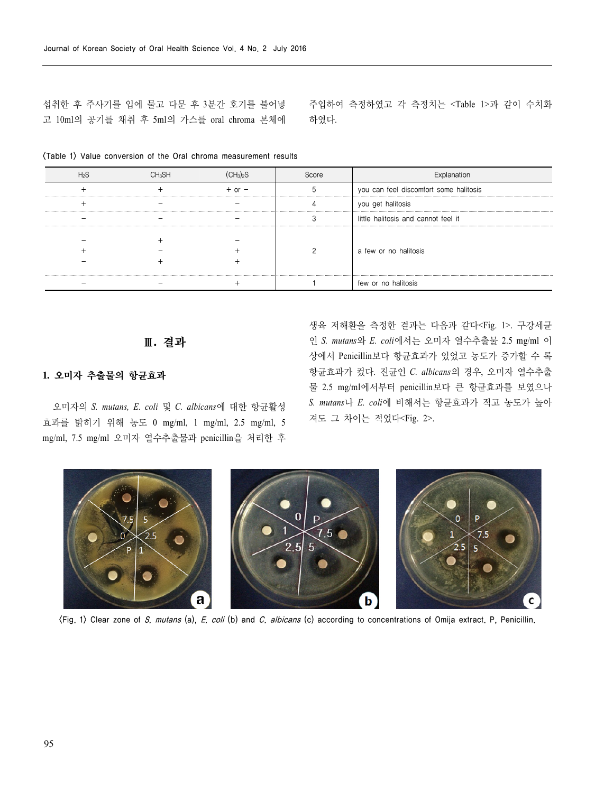섭취한 후 주사기를 입에 물고 다문 후 3분간 호기를 불어넣 고 10ml의 공기를 채취 후 5ml의 가스를 oral chroma 본체에 주입하여 측정하였고 각 측정치는 <Table 1>과 같이 수치화 하였다.

|  |            | Score | Explanation                            |
|--|------------|-------|----------------------------------------|
|  | $+$ or $-$ |       | you can feel discomfort some halitosis |
|  |            |       | you get halitosis                      |
|  |            |       | little halitosis and cannot feel it    |
|  |            |       | a few or no halitosis                  |
|  |            |       | few or no halitosis                    |

<Table 1> Value conversion of the Oral chroma measurement results

### Ⅲ**.** 결과

#### **1.** 오미자 추출물의 항균효과

오미자의 *S. mutans, E. coli* 및 *C. albicans*에 대한 항균활성 효과를 밝히기 위해 농도 0 mg/ml, 1 mg/ml, 2.5 mg/ml, 5 mg/ml, 7.5 mg/ml 오미자 열수추출물과 penicillin을 처리한 후

생육 저해환을 측정한 결과는 다음과 같다<Fig. 1>. 구강세균 인 *S. mutans*와 *E. coli*에서는 오미자 열수추출물 2.5 mg/ml 이 상에서 Penicillin보다 항균효과가 있었고 농도가 증가할 수 록 항균효과가 컸다. 진균인 *C. albicans*의 경우, 오미자 열수추출 물 2.5 mg/ml에서부터 penicillin보다 큰 항균효과를 보였으나 *S. mutans*나 *E. coli*에 비해서는 항균효과가 적고 농도가 높아 져도 그 차이는 적었다<Fig. 2>.



<Fig. 1> Clear zone of S. mutans (a), E. coli (b) and C. albicans (c) according to concentrations of Omija extract. P, Penicillin.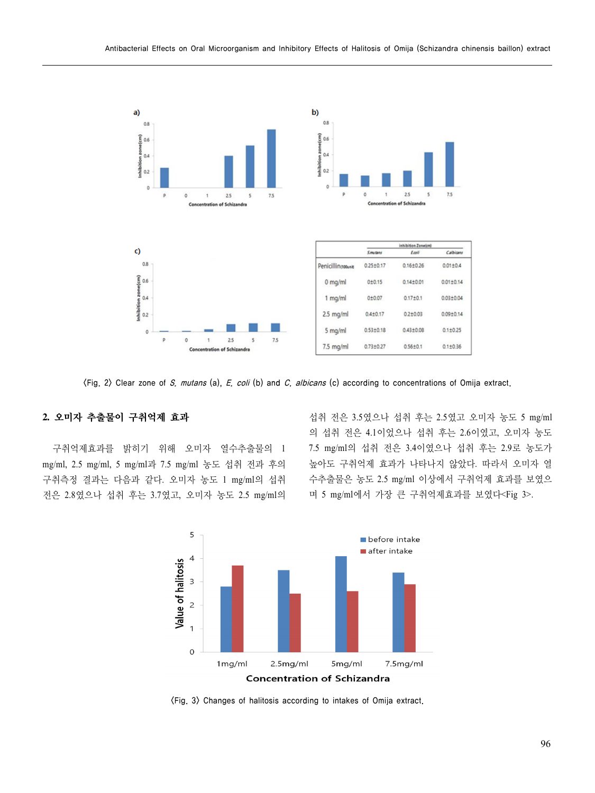

 $\langle$ Fig. 2) Clear zone of S. mutans (a), E. coli (b) and C. albicans (c) according to concentrations of Omija extract.

### **2.** 오미자 추출물이 구취억제 효과

구취억제효과를 밝히기 위해 오미자 열수추출물의 1 mg/ml, 2.5 mg/ml, 5 mg/ml과 7.5 mg/ml 농도 섭취 전과 후의 구취측정 결과는 다음과 같다. 오미자 농도 1 mg/ml의 섭취 전은 2.8였으나 섭취 후는 3.7였고, 오미자 농도 2.5 mg/ml의

섭취 전은 3.5였으나 섭취 후는 2.5였고 오미자 농도 5 mg/ml 의 섭취 전은 4.1이었으나 섭취 후는 2.6이였고, 오미자 농도 7.5 mg/ml의 섭취 전은 3.4이였으나 섭취 후는 2.9로 농도가 높아도 구취억제 효과가 나타나지 않았다. 따라서 오미자 열 수추출물은 농도 2.5 mg/ml 이상에서 구취억제 효과를 보였으 며 5 mg/ml에서 가장 큰 구취억제효과를 보였다<Fig 3>.



<Fig. 3> Changes of halitosis according to intakes of Omija extract.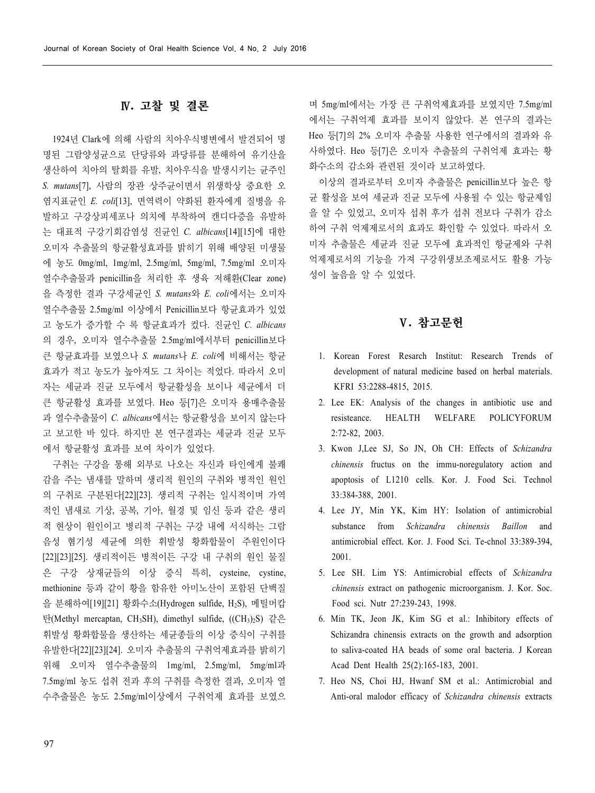## Ⅳ**.** 고찰 및 결론

1924년 Clark에 의해 사람의 치아우식병변에서 발견되어 명 명된 그람양성균으로 단당류와 과당류를 분해하여 유기산을 생산하여 치아의 탈회를 유발, 치아우식을 발생시키는 균주인 *S. mutans*[7], 사람의 장관 상주균이면서 위생학상 중요한 오 염지표균인 *E. coli*[13], 면역력이 약화된 환자에게 질병을 유 발하고 구강상피세포나 의치에 부착하여 캔디다증을 유발하 는 대표적 구강기회감염성 진균인 *C. albicans*[14][15]에 대한 오미자 추출물의 항균활성효과를 밝히기 위해 배양된 미생물 에 농도 0mg/ml, 1mg/ml, 2.5mg/ml, 5mg/ml, 7.5mg/ml 오미자 열수추출물과 penicillin을 처리한 후 생육 저해환(Clear zone) 을 측정한 결과 구강세균인 *S. mutans*와 *E. coli*에서는 오미자 열수추출물 2.5mg/ml 이상에서 Penicillin보다 항균효과가 있었 고 농도가 증가할 수 록 항균효과가 컸다. 진균인 *C. albicans* 의 경우, 오미자 열수추출물 2.5mg/ml에서부터 penicillin보다 큰 항균효과를 보였으나 *S. mutans*나 *E. coli*에 비해서는 항균 효과가 적고 농도가 높아져도 그 차이는 적었다. 따라서 오미 자는 세균과 진균 모두에서 항균활성을 보이나 세균에서 더 큰 항균활성 효과를 보였다. Heo 등[7]은 오미자 용매추출물 과 열수추출물이 *C. albicans*에서는 항균활성을 보이지 않는다 고 보고한 바 있다. 하지만 본 연구결과는 세균과 진균 모두 에서 항균활성 효과를 보여 차이가 있었다.

구취는 구강을 통해 외부로 나오는 자신과 타인에게 불쾌 감을 주는 냄새를 말하며 생리적 원인의 구취와 병적인 원인 의 구취로 구분된다[22][23]. 생리적 구취는 일시적이며 가역 적인 냄새로 기상, 공복, 기아, 월경 및 임신 등과 같은 생리 적 현상이 원인이고 병리적 구취는 구강 내에 서식하는 그람 음성 혐기성 세균에 의한 휘발성 황화합물이 주원인이다 [22][23][25]. 생리적이든 병적이든 구강 내 구취의 원인 물질 은 구강 상재균들의 이상 증식 특히, cysteine, cystine, methionine 등과 같이 황을 함유한 아미노산이 포함된 단백질 을 분해하여[19][21] 황화수소(Hydrogen sulfide, H2S), 메틸머캅 탄(Methyl mercaptan, CH3SH), dimethyl sulfide, ((CH3)2S) 같은 휘발성 황화합물을 생산하는 세균종들의 이상 증식이 구취를 유발한다[22][23][24]. 오미자 추출물의 구취억제효과를 밝히기 위해 오미자 열수추출물의 1mg/ml, 2.5mg/ml, 5mg/ml과 7.5mg/ml 농도 섭취 전과 후의 구취를 측정한 결과, 오미자 열 수추출물은 농도 2.5mg/ml이상에서 구취억제 효과를 보였으

며 5mg/ml에서는 가장 큰 구취억제효과를 보였지만 7.5mg/ml 에서는 구취억제 효과를 보이지 않았다. 본 연구의 결과는 Heo 등[7]의 2% 오미자 추출물 사용한 연구에서의 결과와 유 사하였다. Heo 등[7]은 오미자 추출물의 구취억제 효과는 황 화수소의 감소와 관련된 것이라 보고하였다.

이상의 결과로부터 오미자 추출물은 penicillin보다 높은 항 균 활성을 보여 세균과 진균 모두에 사용될 수 있는 항균제임 을 알 수 있었고, 오미자 섭취 후가 섭취 전보다 구취가 감소 하여 구취 억제제로서의 효과도 확인할 수 있었다. 따라서 오 미자 추출물은 세균과 진균 모두에 효과적인 항균제와 구취 억제제로서의 기능을 가져 구강위생보조제로서도 활용 가능 성이 높음을 알 수 있었다.

## Ⅴ**.** 참고문헌

- 1. Korean Forest Resarch Institut: Research Trends of development of natural medicine based on herbal materials. KFRI 53:2288-4815, 2015.
- 2. Lee EK: Analysis of the changes in antibiotic use and resisteance. HEALTH WELFARE POLICYFORUM 2:72-82, 2003.
- 3. Kwon J,Lee SJ, So JN, Oh CH: Effects of *Schizandra chinensis* fructus on the immu-noregulatory action and apoptosis of L1210 cells. Kor. J. Food Sci. Technol 33:384-388, 2001.
- 4. Lee JY, Min YK, Kim HY: Isolation of antimicrobial substance from *Schizandra chinensis Baillon* and antimicrobial effect. Kor. J. Food Sci. Te-chnol 33:389-394, 2001.
- 5. Lee SH. Lim YS: Antimicrobial effects of *Schizandra chinensis* extract on pathogenic microorganism. J. Kor. Soc. Food sci. Nutr 27:239-243, 1998.
- 6. Min TK, Jeon JK, Kim SG et al.: Inhibitory effects of Schizandra chinensis extracts on the growth and adsorption to saliva-coated HA beads of some oral bacteria. J Korean Acad Dent Health 25(2):165-183, 2001.
- 7. Heo NS, Choi HJ, Hwanf SM et al.: Antimicrobial and Anti-oral malodor efficacy of *Schizandra chinensis* extracts